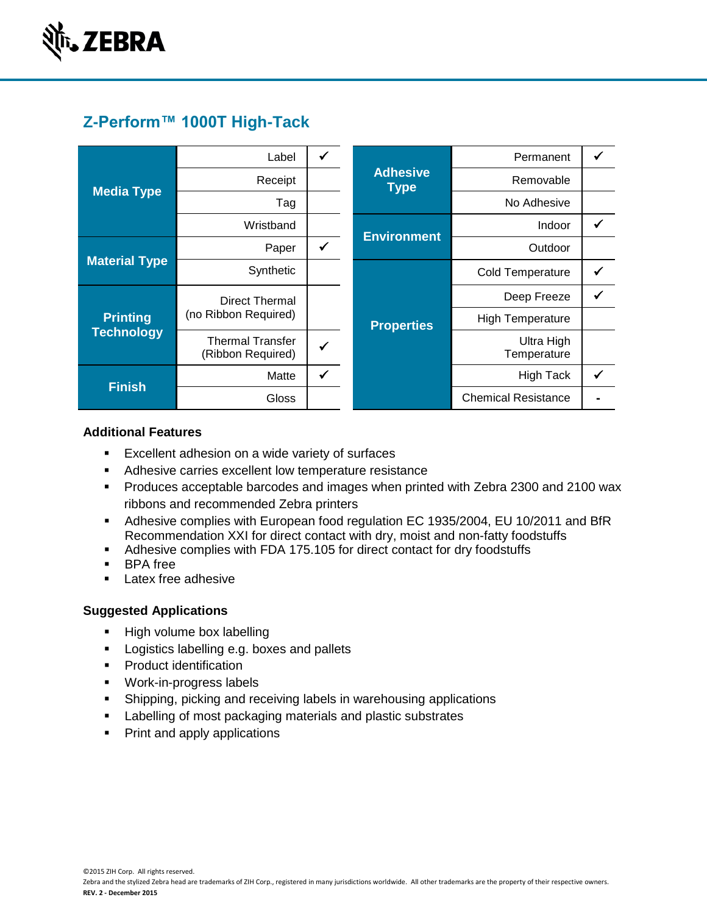

# **Z-Perform™ 1000T High-Tack**

| <b>Media Type</b>                    | Label                                        |   |                                | Permanent                  |  |
|--------------------------------------|----------------------------------------------|---|--------------------------------|----------------------------|--|
|                                      | Receipt                                      |   | <b>Adhesive</b><br><b>Type</b> | Removable                  |  |
|                                      | Tag                                          |   |                                | No Adhesive                |  |
|                                      | Wristband                                    |   | <b>Environment</b>             | Indoor                     |  |
| <b>Material Type</b>                 | Paper                                        | ✔ |                                | Outdoor                    |  |
|                                      | Synthetic                                    |   |                                | <b>Cold Temperature</b>    |  |
| <b>Printing</b><br><b>Technology</b> | Direct Thermal                               |   |                                | Deep Freeze                |  |
|                                      | (no Ribbon Required)                         |   | <b>Properties</b>              | <b>High Temperature</b>    |  |
|                                      | <b>Thermal Transfer</b><br>(Ribbon Required) |   |                                | Ultra High<br>Temperature  |  |
| <b>Finish</b>                        | Matte                                        | ✓ |                                | <b>High Tack</b>           |  |
|                                      | <b>Gloss</b>                                 |   |                                | <b>Chemical Resistance</b> |  |

## **Additional Features**

- **Excellent adhesion on a wide variety of surfaces**
- **Adhesive carries excellent low temperature resistance**
- Produces acceptable barcodes and images when printed with Zebra 2300 and 2100 wax ribbons and recommended Zebra printers
- Adhesive complies with European food regulation EC 1935/2004, EU 10/2011 and BfR Recommendation XXI for direct contact with dry, moist and non-fatty foodstuffs
- Adhesive complies with FDA 175.105 for direct contact for dry foodstuffs
- **BPA** free
- **Latex free adhesive**

### **Suggested Applications**

- High volume box labelling
- **Logistics labelling e.g. boxes and pallets**
- **Product identification**
- Work-in-progress labels
- Shipping, picking and receiving labels in warehousing applications
- **Labelling of most packaging materials and plastic substrates**
- Print and apply applications